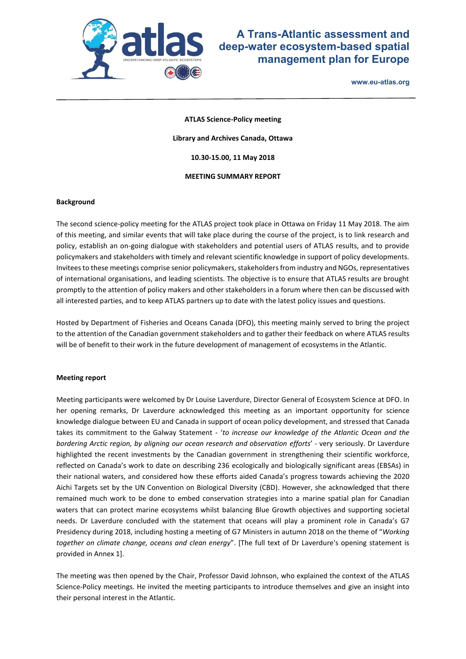

## **A Trans-Atlantic assessment and deep-water ecosystem-based spatial management plan for Europe**

**www.eu-atlas.org**

**ATLAS Science-Policy meeting Library and Archives Canada, Ottawa 10.30-15.00, 11 May 2018 MEETING SUMMARY REPORT**

#### **Background**

The second science-policy meeting for the ATLAS project took place in Ottawa on Friday 11 May 2018. The aim of this meeting, and similar events that will take place during the course of the project, is to link research and policy, establish an on-going dialogue with stakeholders and potential users of ATLAS results, and to provide policymakers and stakeholders with timely and relevant scientific knowledge in support of policy developments. Invitees to these meetings comprise senior policymakers, stakeholders from industry and NGOs, representatives of international organisations, and leading scientists. The objective is to ensure that ATLAS results are brought promptly to the attention of policy makers and other stakeholders in a forum where then can be discussed with all interested parties, and to keep ATLAS partners up to date with the latest policy issues and questions.

Hosted by Department of Fisheries and Oceans Canada (DFO), this meeting mainly served to bring the project to the attention of the Canadian government stakeholders and to gather their feedback on where ATLAS results will be of benefit to their work in the future development of management of ecosystems in the Atlantic.

#### **Meeting report**

Meeting participants were welcomed by Dr Louise Laverdure, Director General of Ecosystem Science at DFO. In her opening remarks, Dr Laverdure acknowledged this meeting as an important opportunity for science knowledge dialogue between EU and Canada in support of ocean policy development, and stressed that Canada takes its commitment to the Galway Statement - '*to increase our knowledge of the Atlantic Ocean and the bordering Arctic region, by aligning our ocean research and observation efforts*' - very seriously. Dr Laverdure highlighted the recent investments by the Canadian government in strengthening their scientific workforce, reflected on Canada's work to date on describing 236 ecologically and biologically significant areas (EBSAs) in their national waters, and considered how these efforts aided Canada's progress towards achieving the 2020 Aichi Targets set by the UN Convention on Biological Diversity (CBD). However, she acknowledged that there remained much work to be done to embed conservation strategies into a marine spatial plan for Canadian waters that can protect marine ecosystems whilst balancing Blue Growth objectives and supporting societal needs. Dr Laverdure concluded with the statement that oceans will play a prominent role in Canada's G7 Presidency during 2018, including hosting a meeting of G7 Ministers in autumn 2018 on the theme of "*Working together on climate change, oceans and clean energy*". [The full text of Dr Laverdure's opening statement is provided in Annex 1].

The meeting was then opened by the Chair, Professor David Johnson, who explained the context of the ATLAS Science-Policy meetings. He invited the meeting participants to introduce themselves and give an insight into their personal interest in the Atlantic.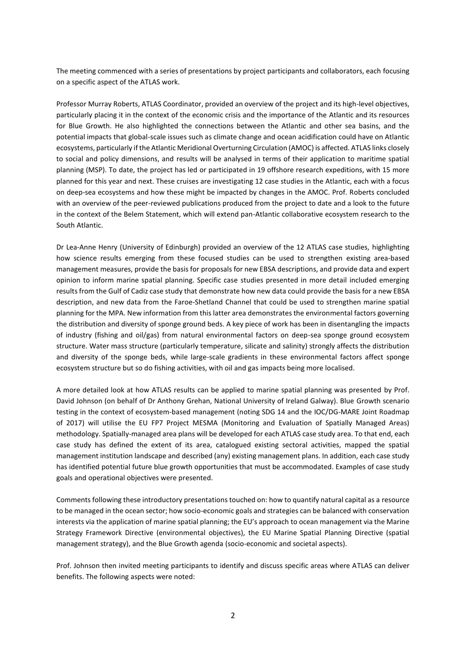The meeting commenced with a series of presentations by project participants and collaborators, each focusing on a specific aspect of the ATLAS work.

Professor Murray Roberts, ATLAS Coordinator, provided an overview of the project and its high-level objectives, particularly placing it in the context of the economic crisis and the importance of the Atlantic and its resources for Blue Growth. He also highlighted the connections between the Atlantic and other sea basins, and the potential impacts that global-scale issues such as climate change and ocean acidification could have on Atlantic ecosystems, particularly if the Atlantic Meridional Overturning Circulation (AMOC) is affected. ATLAS links closely to social and policy dimensions, and results will be analysed in terms of their application to maritime spatial planning (MSP). To date, the project has led or participated in 19 offshore research expeditions, with 15 more planned for this year and next. These cruises are investigating 12 case studies in the Atlantic, each with a focus on deep-sea ecosystems and how these might be impacted by changes in the AMOC. Prof. Roberts concluded with an overview of the peer-reviewed publications produced from the project to date and a look to the future in the context of the Belem Statement, which will extend pan-Atlantic collaborative ecosystem research to the South Atlantic.

Dr Lea-Anne Henry (University of Edinburgh) provided an overview of the 12 ATLAS case studies, highlighting how science results emerging from these focused studies can be used to strengthen existing area-based management measures, provide the basis for proposals for new EBSA descriptions, and provide data and expert opinion to inform marine spatial planning. Specific case studies presented in more detail included emerging results from the Gulf of Cadiz case study that demonstrate how new data could provide the basis for a new EBSA description, and new data from the Faroe-Shetland Channel that could be used to strengthen marine spatial planning for the MPA. New information from this latter area demonstrates the environmental factors governing the distribution and diversity of sponge ground beds. A key piece of work has been in disentangling the impacts of industry (fishing and oil/gas) from natural environmental factors on deep-sea sponge ground ecosystem structure. Water mass structure (particularly temperature, silicate and salinity) strongly affects the distribution and diversity of the sponge beds, while large-scale gradients in these environmental factors affect sponge ecosystem structure but so do fishing activities, with oil and gas impacts being more localised.

A more detailed look at how ATLAS results can be applied to marine spatial planning was presented by Prof. David Johnson (on behalf of Dr Anthony Grehan, National University of Ireland Galway). Blue Growth scenario testing in the context of ecosystem-based management (noting SDG 14 and the IOC/DG-MARE Joint Roadmap of 2017) will utilise the EU FP7 Project MESMA (Monitoring and Evaluation of Spatially Managed Areas) methodology. Spatially-managed area plans will be developed for each ATLAS case study area. To that end, each case study has defined the extent of its area, catalogued existing sectoral activities, mapped the spatial management institution landscape and described (any) existing management plans. In addition, each case study has identified potential future blue growth opportunities that must be accommodated. Examples of case study goals and operational objectives were presented.

Comments following these introductory presentations touched on: how to quantify natural capital as a resource to be managed in the ocean sector; how socio-economic goals and strategies can be balanced with conservation interests via the application of marine spatial planning; the EU's approach to ocean management via the Marine Strategy Framework Directive (environmental objectives), the EU Marine Spatial Planning Directive (spatial management strategy), and the Blue Growth agenda (socio-economic and societal aspects).

Prof. Johnson then invited meeting participants to identify and discuss specific areas where ATLAS can deliver benefits. The following aspects were noted: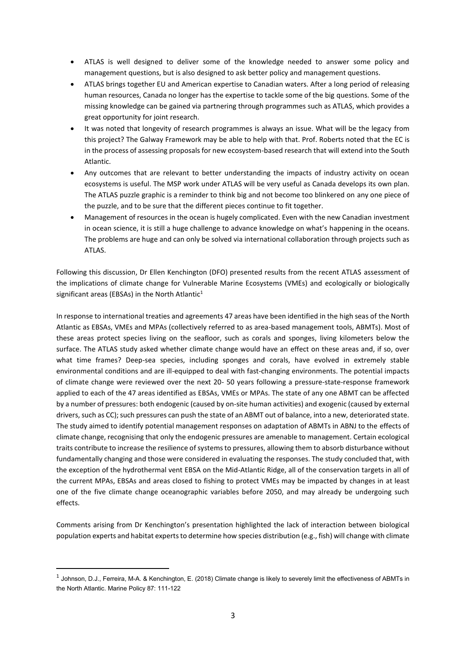- ATLAS is well designed to deliver some of the knowledge needed to answer some policy and management questions, but is also designed to ask better policy and management questions.
- ATLAS brings together EU and American expertise to Canadian waters. After a long period of releasing human resources, Canada no longer has the expertise to tackle some of the big questions. Some of the missing knowledge can be gained via partnering through programmes such as ATLAS, which provides a great opportunity for joint research.
- It was noted that longevity of research programmes is always an issue. What will be the legacy from this project? The Galway Framework may be able to help with that. Prof. Roberts noted that the EC is in the process of assessing proposals for new ecosystem-based research that will extend into the South Atlantic.
- Any outcomes that are relevant to better understanding the impacts of industry activity on ocean ecosystems is useful. The MSP work under ATLAS will be very useful as Canada develops its own plan. The ATLAS puzzle graphic is a reminder to think big and not become too blinkered on any one piece of the puzzle, and to be sure that the different pieces continue to fit together.
- Management of resources in the ocean is hugely complicated. Even with the new Canadian investment in ocean science, it is still a huge challenge to advance knowledge on what's happening in the oceans. The problems are huge and can only be solved via international collaboration through projects such as ATLAS.

Following this discussion, Dr Ellen Kenchington (DFO) presented results from the recent ATLAS assessment of the implications of climate change for Vulnerable Marine Ecosystems (VMEs) and ecologically or biologically significant areas (EBSAs) in the North Atlantic $1$ 

In response to international treaties and agreements 47 areas have been identified in the high seas of the North Atlantic as EBSAs, VMEs and MPAs (collectively referred to as area-based management tools, ABMTs). Most of these areas protect species living on the seafloor, such as corals and sponges, living kilometers below the surface. The ATLAS study asked whether climate change would have an effect on these areas and, if so, over what time frames? Deep-sea species, including sponges and corals, have evolved in extremely stable environmental conditions and are ill-equipped to deal with fast-changing environments. The potential impacts of climate change were reviewed over the next 20- 50 years following a pressure-state-response framework applied to each of the 47 areas identified as EBSAs, VMEs or MPAs. The state of any one ABMT can be affected by a number of pressures: both endogenic (caused by on-site human activities) and exogenic (caused by external drivers, such as CC); such pressures can push the state of an ABMT out of balance, into a new, deteriorated state. The study aimed to identify potential management responses on adaptation of ABMTs in ABNJ to the effects of climate change, recognising that only the endogenic pressures are amenable to management. Certain ecological traits contribute to increase the resilience of systems to pressures, allowing them to absorb disturbance without fundamentally changing and those were considered in evaluating the responses. The study concluded that, with the exception of the hydrothermal vent EBSA on the Mid-Atlantic Ridge, all of the conservation targets in all of the current MPAs, EBSAs and areas closed to fishing to protect VMEs may be impacted by changes in at least one of the five climate change oceanographic variables before 2050, and may already be undergoing such effects.

Comments arising from Dr Kenchington's presentation highlighted the lack of interaction between biological population experts and habitat experts to determine how species distribution (e.g., fish) will change with climate

**.** 

 $^1$  Johnson, D.J., Ferreira, M-A. & Kenchington, E. (2018) Climate change is likely to severely limit the effectiveness of ABMTs in the North Atlantic. Marine Policy 87: 111-122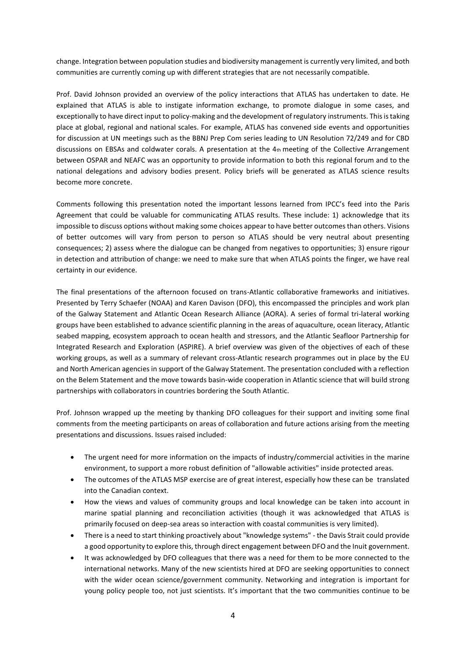change. Integration between population studies and biodiversity management is currently very limited, and both communities are currently coming up with different strategies that are not necessarily compatible.

Prof. David Johnson provided an overview of the policy interactions that ATLAS has undertaken to date. He explained that ATLAS is able to instigate information exchange, to promote dialogue in some cases, and exceptionally to have direct input to policy-making and the development of regulatory instruments. This is taking place at global, regional and national scales. For example, ATLAS has convened side events and opportunities for discussion at UN meetings such as the BBNJ Prep Com series leading to UN Resolution 72/249 and for CBD discussions on EBSAs and coldwater corals. A presentation at the  $4<sub>th</sub>$  meeting of the Collective Arrangement between OSPAR and NEAFC was an opportunity to provide information to both this regional forum and to the national delegations and advisory bodies present. Policy briefs will be generated as ATLAS science results become more concrete.

Comments following this presentation noted the important lessons learned from IPCC's feed into the Paris Agreement that could be valuable for communicating ATLAS results. These include: 1) acknowledge that its impossible to discuss options without making some choices appear to have better outcomes than others. Visions of better outcomes will vary from person to person so ATLAS should be very neutral about presenting consequences; 2) assess where the dialogue can be changed from negatives to opportunities; 3) ensure rigour in detection and attribution of change: we need to make sure that when ATLAS points the finger, we have real certainty in our evidence.

The final presentations of the afternoon focused on trans-Atlantic collaborative frameworks and initiatives. Presented by Terry Schaefer (NOAA) and Karen Davison (DFO), this encompassed the principles and work plan of the Galway Statement and Atlantic Ocean Research Alliance (AORA). A series of formal tri-lateral working groups have been established to advance scientific planning in the areas of aquaculture, ocean literacy, Atlantic seabed mapping, ecosystem approach to ocean health and stressors, and the Atlantic Seafloor Partnership for Integrated Research and Exploration (ASPIRE). A brief overview was given of the objectives of each of these working groups, as well as a summary of relevant cross-Atlantic research programmes out in place by the EU and North American agencies in support of the Galway Statement. The presentation concluded with a reflection on the Belem Statement and the move towards basin-wide cooperation in Atlantic science that will build strong partnerships with collaborators in countries bordering the South Atlantic.

Prof. Johnson wrapped up the meeting by thanking DFO colleagues for their support and inviting some final comments from the meeting participants on areas of collaboration and future actions arising from the meeting presentations and discussions. Issues raised included:

- The urgent need for more information on the impacts of industry/commercial activities in the marine environment, to support a more robust definition of "allowable activities" inside protected areas.
- The outcomes of the ATLAS MSP exercise are of great interest, especially how these can be translated into the Canadian context.
- How the views and values of community groups and local knowledge can be taken into account in marine spatial planning and reconciliation activities (though it was acknowledged that ATLAS is primarily focused on deep-sea areas so interaction with coastal communities is very limited).
- There is a need to start thinking proactively about "knowledge systems" the Davis Strait could provide a good opportunity to explore this, through direct engagement between DFO and the Inuit government.
- It was acknowledged by DFO colleagues that there was a need for them to be more connected to the international networks. Many of the new scientists hired at DFO are seeking opportunities to connect with the wider ocean science/government community. Networking and integration is important for young policy people too, not just scientists. It's important that the two communities continue to be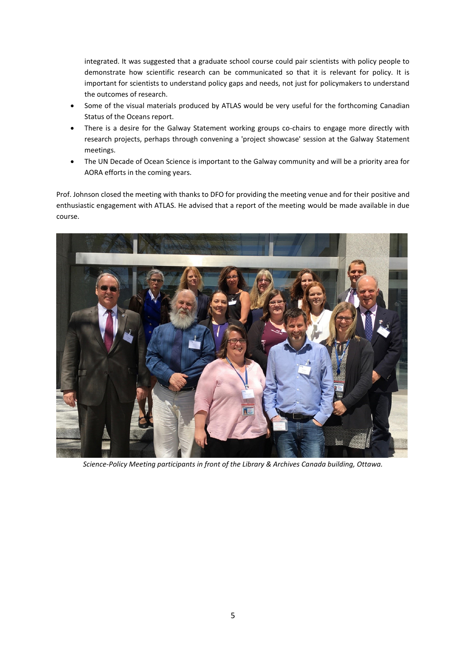integrated. It was suggested that a graduate school course could pair scientists with policy people to demonstrate how scientific research can be communicated so that it is relevant for policy. It is important for scientists to understand policy gaps and needs, not just for policymakers to understand the outcomes of research.

- Some of the visual materials produced by ATLAS would be very useful for the forthcoming Canadian Status of the Oceans report.
- There is a desire for the Galway Statement working groups co-chairs to engage more directly with research projects, perhaps through convening a 'project showcase' session at the Galway Statement meetings.
- The UN Decade of Ocean Science is important to the Galway community and will be a priority area for AORA efforts in the coming years.

Prof. Johnson closed the meeting with thanks to DFO for providing the meeting venue and for their positive and enthusiastic engagement with ATLAS. He advised that a report of the meeting would be made available in due course.



*Science-Policy Meeting participants in front of the Library & Archives Canada building, Ottawa.*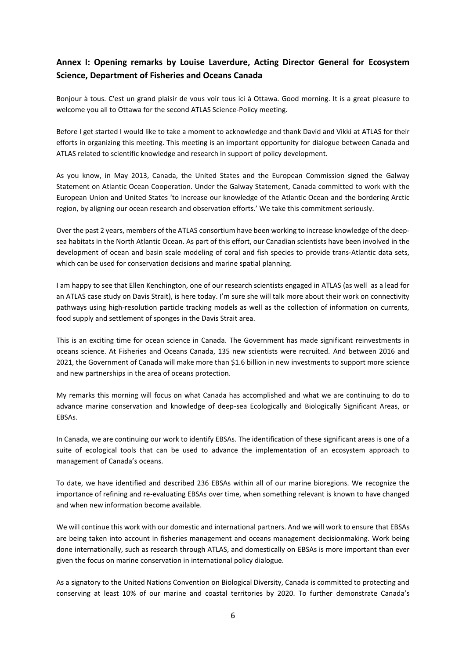### **Annex I: Opening remarks by Louise Laverdure, Acting Director General for Ecosystem Science, Department of Fisheries and Oceans Canada**

Bonjour à tous. C'est un grand plaisir de vous voir tous ici à Ottawa. Good morning. It is a great pleasure to welcome you all to Ottawa for the second ATLAS Science-Policy meeting.

Before I get started I would like to take a moment to acknowledge and thank David and Vikki at ATLAS for their efforts in organizing this meeting. This meeting is an important opportunity for dialogue between Canada and ATLAS related to scientific knowledge and research in support of policy development.

As you know, in May 2013, Canada, the United States and the European Commission signed the Galway Statement on Atlantic Ocean Cooperation. Under the Galway Statement, Canada committed to work with the European Union and United States 'to increase our knowledge of the Atlantic Ocean and the bordering Arctic region, by aligning our ocean research and observation efforts.' We take this commitment seriously.

Over the past 2 years, members of the ATLAS consortium have been working to increase knowledge of the deepsea habitats in the North Atlantic Ocean. As part of this effort, our Canadian scientists have been involved in the development of ocean and basin scale modeling of coral and fish species to provide trans-Atlantic data sets, which can be used for conservation decisions and marine spatial planning.

I am happy to see that Ellen Kenchington, one of our research scientists engaged in ATLAS (as well as a lead for an ATLAS case study on Davis Strait), is here today. I'm sure she will talk more about their work on connectivity pathways using high-resolution particle tracking models as well as the collection of information on currents, food supply and settlement of sponges in the Davis Strait area.

This is an exciting time for ocean science in Canada. The Government has made significant reinvestments in oceans science. At Fisheries and Oceans Canada, 135 new scientists were recruited. And between 2016 and 2021, the Government of Canada will make more than \$1.6 billion in new investments to support more science and new partnerships in the area of oceans protection.

My remarks this morning will focus on what Canada has accomplished and what we are continuing to do to advance marine conservation and knowledge of deep-sea Ecologically and Biologically Significant Areas, or EBSAs.

In Canada, we are continuing our work to identify EBSAs. The identification of these significant areas is one of a suite of ecological tools that can be used to advance the implementation of an ecosystem approach to management of Canada's oceans.

To date, we have identified and described 236 EBSAs within all of our marine bioregions. We recognize the importance of refining and re-evaluating EBSAs over time, when something relevant is known to have changed and when new information become available.

We will continue this work with our domestic and international partners. And we will work to ensure that EBSAs are being taken into account in fisheries management and oceans management decisionmaking. Work being done internationally, such as research through ATLAS, and domestically on EBSAs is more important than ever given the focus on marine conservation in international policy dialogue.

As a signatory to the United Nations Convention on Biological Diversity, Canada is committed to protecting and conserving at least 10% of our marine and coastal territories by 2020. To further demonstrate Canada's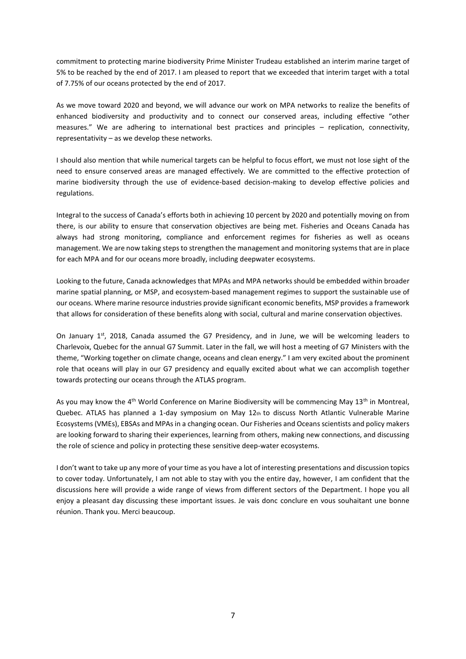commitment to protecting marine biodiversity Prime Minister Trudeau established an interim marine target of 5% to be reached by the end of 2017. I am pleased to report that we exceeded that interim target with a total of 7.75% of our oceans protected by the end of 2017.

As we move toward 2020 and beyond, we will advance our work on MPA networks to realize the benefits of enhanced biodiversity and productivity and to connect our conserved areas, including effective "other measures." We are adhering to international best practices and principles – replication, connectivity, representativity – as we develop these networks.

I should also mention that while numerical targets can be helpful to focus effort, we must not lose sight of the need to ensure conserved areas are managed effectively. We are committed to the effective protection of marine biodiversity through the use of evidence-based decision-making to develop effective policies and regulations.

Integral to the success of Canada's efforts both in achieving 10 percent by 2020 and potentially moving on from there, is our ability to ensure that conservation objectives are being met. Fisheries and Oceans Canada has always had strong monitoring, compliance and enforcement regimes for fisheries as well as oceans management. We are now taking steps to strengthen the management and monitoring systems that are in place for each MPA and for our oceans more broadly, including deepwater ecosystems.

Looking to the future, Canada acknowledges that MPAs and MPA networks should be embedded within broader marine spatial planning, or MSP, and ecosystem-based management regimes to support the sustainable use of our oceans. Where marine resource industries provide significant economic benefits, MSP provides a framework that allows for consideration of these benefits along with social, cultural and marine conservation objectives.

On January  $1^{st}$ , 2018, Canada assumed the G7 Presidency, and in June, we will be welcoming leaders to Charlevoix, Quebec for the annual G7 Summit. Later in the fall, we will host a meeting of G7 Ministers with the theme, "Working together on climate change, oceans and clean energy." I am very excited about the prominent role that oceans will play in our G7 presidency and equally excited about what we can accomplish together towards protecting our oceans through the ATLAS program.

As you may know the 4<sup>th</sup> World Conference on Marine Biodiversity will be commencing May 13<sup>th</sup> in Montreal, Quebec. ATLAS has planned a 1-day symposium on May 12th to discuss North Atlantic Vulnerable Marine Ecosystems (VMEs), EBSAs and MPAs in a changing ocean. Our Fisheries and Oceans scientists and policy makers are looking forward to sharing their experiences, learning from others, making new connections, and discussing the role of science and policy in protecting these sensitive deep-water ecosystems.

I don't want to take up any more of your time as you have a lot of interesting presentations and discussion topics to cover today. Unfortunately, I am not able to stay with you the entire day, however, I am confident that the discussions here will provide a wide range of views from different sectors of the Department. I hope you all enjoy a pleasant day discussing these important issues. Je vais donc conclure en vous souhaitant une bonne réunion. Thank you. Merci beaucoup.